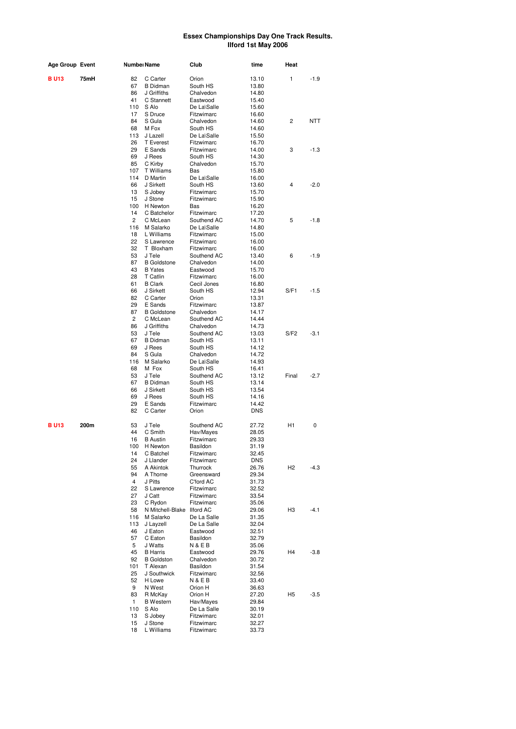| Age Group Event | Numbeı Name |           | Club                          | time                      | Heat                |                |            |
|-----------------|-------------|-----------|-------------------------------|---------------------------|---------------------|----------------|------------|
| <b>BU13</b>     | 75mH        | 82        | C Carter                      | Orion                     | 13.10               | 1              | $-1.9$     |
|                 |             | 67        | <b>B</b> Didman               | South HS                  | 13.80               |                |            |
|                 |             | 86        | J Griffiths                   | Chalvedon                 | 14.80               |                |            |
|                 |             | 41        | C Stannett                    | Eastwood                  | 15.40               |                |            |
|                 |             | 110       | S Alo                         | De La\Salle               | 15.60               |                |            |
|                 |             | 17        | S Druce                       | Fitzwimarc                | 16.60               |                |            |
|                 |             | 84<br>68  | S Gula<br>M Fox               | Chalvedon                 | 14.60               | 2              | <b>NTT</b> |
|                 |             | 113       | J Lazell                      | South HS<br>De La\Salle   | 14.60<br>15.50      |                |            |
|                 |             | 26        | <b>T</b> Everest              | Fitzwimarc                | 16.70               |                |            |
|                 |             | 29        | E Sands                       | Fitzwimarc                | 14.00               | 3              | $-1.3$     |
|                 |             | 69        | J Rees                        | South HS                  | 14.30               |                |            |
|                 |             | 85        | C Kirby                       | Chalvedon                 | 15.70               |                |            |
|                 |             | 107       | T Williams                    | Bas                       | 15.80               |                |            |
|                 |             | 114       | D Martin                      | De La\Salle               | 16.00               |                |            |
|                 |             | 66        | J Sirkett                     | South HS                  | 13.60               | 4              | $-2.0$     |
|                 |             | 13        | S Jobey                       | Fitzwimarc                | 15.70               |                |            |
|                 |             | 15        | J Stone                       | Fitzwimarc                | 15.90               |                |            |
|                 |             | 100<br>14 | H Newton<br>C Batchelor       | Bas                       | 16.20               |                |            |
|                 |             | 2         | C McLean                      | Fitzwimarc<br>Southend AC | 17.20<br>14.70      | 5              | $-1.8$     |
|                 |             | 116       | M Salarko                     | De La\Salle               | 14.80               |                |            |
|                 |             | 18        | L Williams                    | Fitzwimarc                | 15.00               |                |            |
|                 |             | 22        | S Lawrence                    | Fitzwimarc                | 16.00               |                |            |
|                 |             | 32        | T Bloxham                     | Fitzwimarc                | 16.00               |                |            |
|                 |             | 53        | J Tele                        | Southend AC               | 13.40               | 6              | $-1.9$     |
|                 |             | 87        | <b>B</b> Goldstone            | Chalvedon                 | 14.00               |                |            |
|                 |             | 43        | <b>B</b> Yates                | Eastwood                  | 15.70               |                |            |
|                 |             | 28        | T Catlin                      | Fitzwimarc                | 16.00               |                |            |
|                 |             | 61        | <b>B</b> Clark                | Cecil Jones               | 16.80               |                |            |
|                 |             | 66        | J Sirkett                     | South HS                  | 12.94               | S/F1           | $-1.5$     |
|                 |             | 82        | C Carter                      | Orion                     | 13.31               |                |            |
|                 |             | 29<br>87  | E Sands<br><b>B</b> Goldstone | Fitzwimarc<br>Chalvedon   | 13.87<br>14.17      |                |            |
|                 |             | 2         | C McLean                      | Southend AC               | 14.44               |                |            |
|                 |             | 86        | J Griffiths                   | Chalvedon                 | 14.73               |                |            |
|                 |             | 53        | J Tele                        | Southend AC               | 13.03               | S/F2           | $-3.1$     |
|                 |             | 67        | <b>B</b> Didman               | South HS                  | 13.11               |                |            |
|                 |             | 69        | J Rees                        | South HS                  | 14.12               |                |            |
|                 |             | 84        | S Gula                        | Chalvedon                 | 14.72               |                |            |
|                 |             | 116       | M Salarko                     | De La\Salle               | 14.93               |                |            |
|                 |             | 68        | M Fox                         | South HS                  | 16.41               |                |            |
|                 |             | 53        | J Tele                        | Southend AC               | 13.12               | Final          | $-2.7$     |
|                 |             | 67        | <b>B</b> Didman               | South HS                  | 13.14               |                |            |
|                 |             | 66        | J Sirkett                     | South HS                  | 13.54               |                |            |
|                 |             | 69<br>29  | J Rees<br>E Sands             | South HS                  | 14.16               |                |            |
|                 |             | 82        | C Carter                      | Fitzwimarc<br>Orion       | 14.42<br><b>DNS</b> |                |            |
|                 |             |           |                               |                           |                     |                |            |
| <b>BU13</b>     | 200m        | 53        | J Tele                        | Southend AC               | 27.72               | H1             | 0          |
|                 |             | 44        | C Smith                       | Hav/Mayes                 | 28.05               |                |            |
|                 |             | 16        | <b>B</b> Austin               | Fitzwimarc                | 29.33               |                |            |
|                 |             | 100       | H Newton                      | Basildon                  | 31.19               |                |            |
|                 |             | 14        | C Batchel                     | Fitzwimarc                | 32.45               |                |            |
|                 |             | 24        | J Llander                     | Fitzwimarc                | <b>DNS</b>          |                |            |
|                 |             | 55        | A Akintok                     | Thurrock                  | 26.76               | H <sub>2</sub> | $-4.3$     |
|                 |             | 94<br>4   | A Thorne<br>J Pitts           | Greensward<br>C'ford AC   | 29.34<br>31.73      |                |            |
|                 |             | 22        | S Lawrence                    | Fitzwimarc                | 32.52               |                |            |
|                 |             | 27        | J Catt                        | Fitzwimarc                | 33.54               |                |            |
|                 |             | 23        | C Rydon                       | Fitzwimarc                | 35.06               |                |            |
|                 |             | 58        | N Mitchell-Blake Ilford AC    |                           | 29.06               | H3             | $-4.1$     |
|                 |             | 116       | M Salarko                     | De La Salle               | 31.35               |                |            |
|                 |             | 113       | J Layzell                     | De La Salle               | 32.04               |                |            |
|                 |             | 46        | J Eaton                       | Eastwood                  | 32.51               |                |            |
|                 |             | 57        | C Eaton                       | Basildon                  | 32.79               |                |            |
|                 |             | 5         | J Watts                       | <b>N&amp;EB</b>           | 35.06               |                |            |
|                 |             | 45        | <b>B</b> Harris               | Eastwood                  | 29.76               | H4             | $-3.8$     |
|                 |             | 92        | <b>B</b> Goldston             | Chalvedon                 | 30.72               |                |            |
|                 |             | 101<br>25 | T Alexan<br>J Southwick       | Basildon<br>Fitzwimarc    | 31.54               |                |            |
|                 |             | 52        | H Lowe                        | <b>N&amp;EB</b>           | 32.56<br>33.40      |                |            |
|                 |             | 9         | N West                        | Orion H                   | 36.63               |                |            |
|                 |             | 83        | R McKay                       | Orion H                   | 27.20               | H <sub>5</sub> | $-3.5$     |
|                 |             | 1         | <b>B</b> Western              | Hav/Mayes                 | 29.84               |                |            |
|                 |             | 110       | S Alo                         | De La Salle               | 30.19               |                |            |
|                 |             | 13        | S Jobey                       | Fitzwimarc                | 32.01               |                |            |
|                 |             | 15        | J Stone                       | Fitzwimarc                | 32.27               |                |            |
|                 |             | 18        | L Williams                    | Fitzwimarc                | 33.73               |                |            |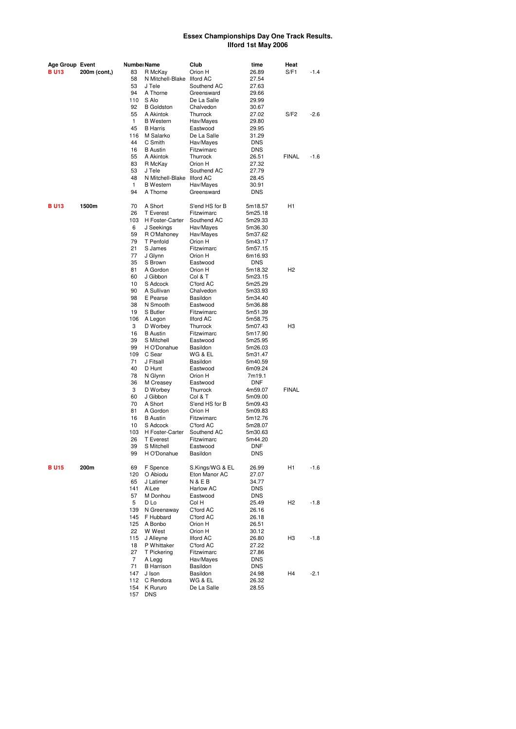| Age Group Event |              | Numbei Name    |                            | Club             | time       | Heat           |        |
|-----------------|--------------|----------------|----------------------------|------------------|------------|----------------|--------|
| B U13           | 200m (cont,) | 83             | R McKay                    | Orion H          | 26.89      | S/F1           | $-1.4$ |
|                 |              | 58             | N Mitchell-Blake           | <b>Ilford AC</b> | 27.54      |                |        |
|                 |              | 53             | J Tele                     | Southend AC      | 27.63      |                |        |
|                 |              | 94             | A Thorne                   | Greensward       | 29.66      |                |        |
|                 |              | 110            | S Alo                      | De La Salle      | 29.99      |                |        |
|                 |              | 92             | <b>B</b> Goldston          | Chalvedon        | 30.67      |                |        |
|                 |              | 55             | A Akintok                  | Thurrock         | 27.02      | S/F2           | $-2.6$ |
|                 |              | 1              | <b>B</b> Western           | Hav/Mayes        | 29.80      |                |        |
|                 |              | 45             | <b>B</b> Harris            | Eastwood         | 29.95      |                |        |
|                 |              | 116            | M Salarko                  | De La Salle      | 31.29      |                |        |
|                 |              | 44             | C Smith                    | Hav/Mayes        | DNS        |                |        |
|                 |              | 16             | <b>B</b> Austin            | Fitzwimarc       | <b>DNS</b> |                |        |
|                 |              | 55             | A Akintok                  | Thurrock         | 26.51      | <b>FINAL</b>   | $-1.6$ |
|                 |              | 83             | R McKay                    | Orion H          | 27.32      |                |        |
|                 |              | 53             | J Tele                     | Southend AC      | 27.79      |                |        |
|                 |              | 48             | N Mitchell-Blake Ilford AC |                  | 28.45      |                |        |
|                 |              | 1              | <b>B</b> Western           | Hav/Mayes        | 30.91      |                |        |
|                 |              | 94             | A Thorne                   | Greensward       | DNS        |                |        |
|                 |              |                |                            |                  |            |                |        |
| <b>BU13</b>     | 1500m        | 70             | A Short                    | S'end HS for B   | 5m18.57    | H1             |        |
|                 |              | 26             | <b>T</b> Everest           | Fitzwimarc       | 5m25.18    |                |        |
|                 |              | 103            | H Foster-Carter            | Southend AC      | 5m29.33    |                |        |
|                 |              | 6              | J Seekings                 | Hav/Mayes        | 5m36.30    |                |        |
|                 |              | 59             | R O'Mahoney                | Hav/Mayes        | 5m37.62    |                |        |
|                 |              | 79             | T Penfold                  | Orion H          | 5m43.17    |                |        |
|                 |              | 21             | S James                    | Fitzwimarc       | 5m57.15    |                |        |
|                 |              | 77             |                            | Orion H          |            |                |        |
|                 |              |                | J Glynn                    |                  | 6m16.93    |                |        |
|                 |              | 35             | S Brown                    | Eastwood         | <b>DNS</b> |                |        |
|                 |              | 81             | A Gordon                   | Orion H          | 5m18.32    | H <sub>2</sub> |        |
|                 |              | 60             | J Gibbon                   | Col & T          | 5m23.15    |                |        |
|                 |              | 10             | S Adcock                   | C'ford AC        | 5m25.29    |                |        |
|                 |              | 90             | A Sullivan                 | Chalvedon        | 5m33.93    |                |        |
|                 |              | 98             | E Pearse                   | Basildon         | 5m34.40    |                |        |
|                 |              | 38             | N Smooth                   | Eastwood         | 5m36.88    |                |        |
|                 |              | 19             | S Butler                   | Fitzwimarc       | 5m51.39    |                |        |
|                 |              | 106            | A Legon                    | <b>Ilford AC</b> | 5m58.75    |                |        |
|                 |              | 3              | D Worbey                   | Thurrock         | 5m07.43    | H <sub>3</sub> |        |
|                 |              | 16             | <b>B</b> Austin            | Fitzwimarc       | 5m17.90    |                |        |
|                 |              | 39             | S Mitchell                 | Eastwood         | 5m25.95    |                |        |
|                 |              | 99             | H O'Donahue                | Basildon         | 5m26.03    |                |        |
|                 |              | 109            | C Sear                     | WG & EL          | 5m31.47    |                |        |
|                 |              | 71             | J Fitsall                  | Basildon         | 5m40.59    |                |        |
|                 |              | 40             | D Hunt                     | Eastwood         | 6m09.24    |                |        |
|                 |              | 78             | N Glynn                    | Orion H          | 7m19.1     |                |        |
|                 |              | 36             | M Creasey                  | Eastwood         | DNF        |                |        |
|                 |              | 3              | D Worbey                   | Thurrock         | 4m59.07    | <b>FINAL</b>   |        |
|                 |              | 60             | J Gibbon                   | Col & T          | 5m09.00    |                |        |
|                 |              | 70             | A Short                    | S'end HS for B   | 5m09.43    |                |        |
|                 |              | 81             | A Gordon                   | Orion H          | 5m09.83    |                |        |
|                 |              | 16             | <b>B</b> Austin            | Fitzwimarc       | 5m12.76    |                |        |
|                 |              | 10             | S Adcock                   | C'ford AC        | 5m28.07    |                |        |
|                 |              | 103            | H Foster-Carter            | Southend AC      | 5m30.63    |                |        |
|                 |              | 26             | <b>T</b> Everest           | Fitzwimarc       | 5m44.20    |                |        |
|                 |              | 39             | S Mitchell                 | Eastwood         | <b>DNF</b> |                |        |
|                 |              | 99             | H O'Donahue                | Basildon         | DNS        |                |        |
|                 |              |                |                            |                  |            |                |        |
| <b>BU15</b>     | 200m         | 69             | F Spence                   | S.Kings/WG & EL  | 26.99      | H1             | $-1.6$ |
|                 |              | 120            | O Abiodu                   | Eton Manor AC    | 27.07      |                |        |
|                 |              | 65             | J Latimer                  | N & E B          | 34.77      |                |        |
|                 |              | 141            | A\Lee                      | <b>Harlow AC</b> | DNS        |                |        |
|                 |              | 57             | M Donhou                   | Eastwood         | DNS        |                |        |
|                 |              | 5              | D Lo                       | Col H            | 25.49      | H <sub>2</sub> | -1.8   |
|                 |              | 139            | N Greenaway                | C'ford AC        | 26.16      |                |        |
|                 |              | 145            | F Hubbard                  | C'ford AC        | 26.18      |                |        |
|                 |              | 125            | A Bonbo                    | Orion H          | 26.51      |                |        |
|                 |              | 22             |                            | Orion H          |            |                |        |
|                 |              |                | W West                     |                  | 30.12      |                |        |
|                 |              | 115            | J Alleyne                  | <b>Ilford AC</b> | 26.80      | H3             | $-1.8$ |
|                 |              | 18             | P Whittaker                | C'ford AC        | 27.22      |                |        |
|                 |              | 27             | T Pickering                | Fitzwimarc       | 27.86      |                |        |
|                 |              | $\overline{7}$ | A Legg                     | Hav/Mayes        | DNS        |                |        |
|                 |              | 71             | <b>B</b> Harrison          | Basildon         | <b>DNS</b> |                |        |
|                 |              | 147            | J Ison                     | Basildon         | 24.98      | H4             | $-2.1$ |
|                 |              | 112            | C Rendora                  | WG & EL          | 26.32      |                |        |
|                 |              | 154            | K Rururo                   | De La Salle      | 28.55      |                |        |
|                 |              | 157            | <b>DNS</b>                 |                  |            |                |        |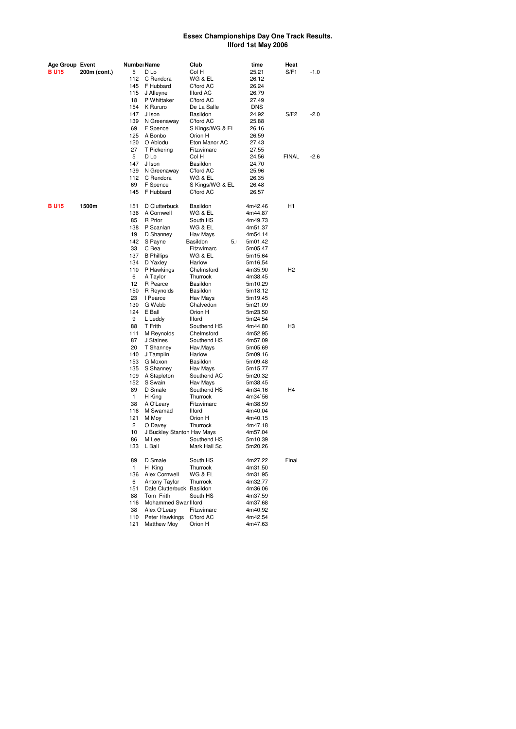| Age Group Event |              | Numbeı Name |                                        | Club                    | time               | Heat           |        |
|-----------------|--------------|-------------|----------------------------------------|-------------------------|--------------------|----------------|--------|
| B U15           | 200m (cont.) | 5           | D Lo                                   | Col H                   | 25.21              | S/F1           | $-1.0$ |
|                 |              | 112         | C Rendora                              | WG & EL                 | 26.12              |                |        |
|                 |              | 145         | F Hubbard                              | C'ford AC               | 26.24              |                |        |
|                 |              | 115         | J Alleyne                              | Ilford AC               | 26.79              |                |        |
|                 |              | 18          | P Whittaker                            | C'ford AC               | 27.49              |                |        |
|                 |              | 154         | K Rururo                               | De La Salle             | <b>DNS</b>         |                |        |
|                 |              | 147         | J Ison                                 | Basildon                | 24.92              | S/F2           | $-2.0$ |
|                 |              | 139         | N Greenaway                            | C'ford AC               | 25.88              |                |        |
|                 |              | 69          | F Spence                               | S Kings/WG & EL         | 26.16              |                |        |
|                 |              | 125         | A Bonbo                                | Orion H                 | 26.59              |                |        |
|                 |              | 120         | O Abiodu                               | Eton Manor AC           | 27.43              |                |        |
|                 |              | 27          | T Pickering                            | Fitzwimarc              | 27.55              |                |        |
|                 |              | 5           | D Lo                                   | Col H                   | 24.56              | <b>FINAL</b>   | $-2.6$ |
|                 |              | 147         | J Ison                                 | Basildon                | 24.70              |                |        |
|                 |              | 139         | N Greenaway                            | C'ford AC               | 25.96              |                |        |
|                 |              | 112         | C Rendora                              | WG & EL                 | 26.35              |                |        |
|                 |              | 69          | F Spence                               | S Kings/WG & EL         | 26.48              |                |        |
|                 |              | 145         | F Hubbard                              | C'ford AC               | 26.57              |                |        |
| <b>BU15</b>     | 1500m        | 151         | D Clutterbuck                          | Basildon                | 4m42.46            | H1             |        |
|                 |              | 136         | A Cornwell                             | WG & EL                 | 4m44.87            |                |        |
|                 |              | 85          | R Prior                                | South HS                | 4m49.73            |                |        |
|                 |              | 138         | P Scanlan                              | WG & EL                 | 4m51.37            |                |        |
|                 |              | 19          | D Shanney                              | Hav Mays                | 4m54.14            |                |        |
|                 |              | 142         | S Payne                                | Basildon<br>5.1         | 5m01.42            |                |        |
|                 |              | 33          | C Bea                                  | Fitzwimarc              | 5m05.47            |                |        |
|                 |              | 137         | <b>B</b> Phillips                      | WG & EL                 | 5m15.64            |                |        |
|                 |              | 134         | D Yaxley                               | Harlow                  | 5m16,54            |                |        |
|                 |              | 110         | P Hawkings                             | Chelmsford              | 4m35.90            | H <sub>2</sub> |        |
|                 |              | 6           | A Taylor                               | Thurrock                | 4m38.45            |                |        |
|                 |              | 12          | R Pearce                               | Basildon                | 5m10.29            |                |        |
|                 |              | 150         | R Reynolds                             | Basildon                | 5m18.12            |                |        |
|                 |              | 23          | I Pearce                               | Hav Mays                | 5m19.45            |                |        |
|                 |              | 130         | G Webb                                 | Chalvedon               | 5m21.09            |                |        |
|                 |              | 124         | E Ball                                 | Orion H                 | 5m23.50            |                |        |
|                 |              | 9           | L Leddy                                | <b>Ilford</b>           | 5m24.54            |                |        |
|                 |              | 88          | T Frith                                | Southend HS             | 4m44.80            | H <sub>3</sub> |        |
|                 |              | 111         | M Reynolds                             | Chelmsford              | 4m52.95            |                |        |
|                 |              | 87          | J Staines                              | Southend HS             | 4m57.09            |                |        |
|                 |              | 20          | T Shanney                              | Hav.Mays                | 5m05.69            |                |        |
|                 |              | 140         | J Tamplin                              | Harlow                  | 5m09.16            |                |        |
|                 |              | 153         | G Moxon                                | Basildon                | 5m09.48            |                |        |
|                 |              | 135         | S Shanney                              | Hav Mays                | 5m15.77            |                |        |
|                 |              | 109<br>152  | A Stapleton<br>S Swain                 | Southend AC             | 5m20.32            |                |        |
|                 |              | 89          | D Smale                                | Hav Mays<br>Southend HS | 5m38.45<br>4m34.16 | H4             |        |
|                 |              | 1           | H King                                 | Thurrock                | 4m34`56            |                |        |
|                 |              | 38          | A O'Leary                              | Fitzwimarc              | 4m38.59            |                |        |
|                 |              | 116         | M Swamad                               | <b>Ilford</b>           | 4m40.04            |                |        |
|                 |              | 121         | M Moy                                  | Orion H                 | 4m40.15            |                |        |
|                 |              | 2           | O Davey                                | Thurrock                | 4m47.18            |                |        |
|                 |              | 10          | J Buckley Stanton Hav Mays             |                         | 4m57.04            |                |        |
|                 |              | 86          | M Lee                                  | Southend HS             | 5m10.39            |                |        |
|                 |              | 133         | L Ball                                 | Mark Hall Sc            | 5m20.26            |                |        |
|                 |              |             |                                        |                         |                    |                |        |
|                 |              | 89          | D Smale                                | South HS                | 4m27.22            | Final          |        |
|                 |              | 1           | H King                                 | Thurrock                | 4m31.50            |                |        |
|                 |              | 136         | Alex Cornwell                          | WG & EL                 | 4m31.95            |                |        |
|                 |              | 6<br>151    | <b>Antony Taylor</b>                   | Thurrock                | 4m32.77            |                |        |
|                 |              | 88          | Dale Clutterbuck Basildon<br>Tom Frith | South HS                | 4m36.06<br>4m37.59 |                |        |
|                 |              | 116         | Mohammed Swar Ilford                   |                         | 4m37.68            |                |        |
|                 |              | 38          | Alex O'Leary                           | Fitzwimarc              | 4m40.92            |                |        |
|                 |              | 110         | Peter Hawkings                         | C'ford AC               | 4m42.54            |                |        |
|                 |              | 121         | <b>Matthew Moy</b>                     | Orion H                 | 4m47.63            |                |        |
|                 |              |             |                                        |                         |                    |                |        |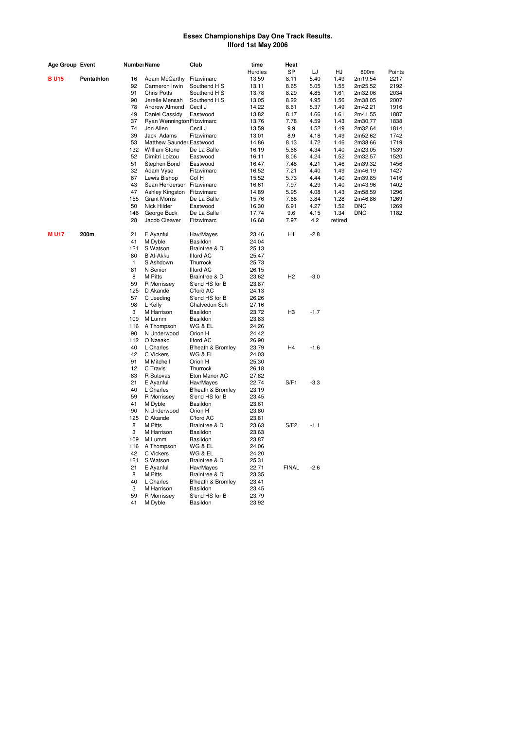| <b>Age Group Event</b> |            | Numbeı Name |                            | Club               | time<br>Hurdles | Heat<br><b>SP</b> | LJ     | HJ      | 800m       | Points |
|------------------------|------------|-------------|----------------------------|--------------------|-----------------|-------------------|--------|---------|------------|--------|
| <b>BU15</b>            | Pentathlon | 16          | Adam McCarthy              | Fitzwimarc         | 13.59           | 8.11              | 5.40   | 1.49    | 2m19.54    | 2217   |
|                        |            | 92          | Carmeron Irwin             | Southend H S       | 13.11           | 8.65              | 5.05   | 1.55    | 2m25.52    | 2192   |
|                        |            | 91          | <b>Chris Potts</b>         | Southend H S       | 13.78           | 8.29              | 4.85   | 1.61    | 2m32.06    | 2034   |
|                        |            | 90          | Jerelle Mensah             | Southend H S       | 13.05           | 8.22              | 4.95   | 1.56    | 2m38.05    | 2007   |
|                        |            | 78          | Andrew Almond              | Cecil J            | 14.22           | 8.61              | 5.37   | 1.49    | 2m42.21    | 1916   |
|                        |            | 49          | Daniel Cassidy             | Eastwood           | 13.82           | 8.17              | 4.66   | 1.61    | 2m41.55    | 1887   |
|                        |            | 37          | Ryan Wennington Fitzwimarc |                    | 13.76           | 7.78              | 4.59   | 1.43    | 2m30.77    | 1838   |
|                        |            | 74          | Jon Allen                  | Cecil J            | 13.59           | 9.9               | 4.52   | 1.49    | 2m32.64    | 1814   |
|                        |            | 39          | Jack Adams                 | Fitzwimarc         | 13.01           | 8.9               | 4.18   | 1.49    | 2m52.62    | 1742   |
|                        |            | 53          | Matthew Saunder Eastwood   |                    | 14.86           | 8.13              | 4.72   | 1.46    | 2m38.66    | 1719   |
|                        |            | 132         | <b>William Stone</b>       | De La Salle        | 16.19           | 5.66              | 4.34   | 1.40    | 2m23.05    | 1539   |
|                        |            | 52          | Dimitri Loizou             | Eastwood           | 16.11           | 8.06              | 4.24   | 1.52    | 2m32.57    | 1520   |
|                        |            | 51          | Stephen Bond               | Eastwood           | 16.47           | 7.48              | 4.21   | 1.46    | 2m39.32    | 1456   |
|                        |            | 32          | Adam Vyse                  | Fitzwimarc         | 16.52           | 7.21              | 4.40   | 1.49    | 2m46.19    | 1427   |
|                        |            | 67          | Lewis Bishop               | Col H              | 15.52           | 5.73              | 4.44   | 1.40    | 2m39.85    | 1416   |
|                        |            | 43          | Sean Henderson Fitzwimarc  |                    | 16.61           | 7.97              | 4.29   | 1.40    | 2m43.96    | 1402   |
|                        |            | 47          | Ashley Kingston Fitzwimarc |                    | 14.89           | 5.95              | 4.08   | 1.43    | 2m58.59    | 1296   |
|                        |            | 155         | <b>Grant Morris</b>        | De La Salle        | 15.76           | 7.68              | 3.84   | 1.28    | 2m46.86    | 1269   |
|                        |            | 50          | Nick Hilder                | Eastwood           | 16.30           | 6.91              | 4.27   | 1.52    | <b>DNC</b> | 1269   |
|                        |            | 146         | George Buck                | De La Salle        | 17.74           | 9.6               | 4.15   | 1.34    | <b>DNC</b> | 1182   |
|                        |            | 28          | Jacob Cleaver              | Fitzwimarc         | 16.68           | 7.97              | 4.2    | retired |            |        |
| <b>MU17</b>            | 200m       | 21          | E Ayanful                  | Hav/Mayes          | 23.46           | H <sub>1</sub>    | $-2.8$ |         |            |        |
|                        |            | 41          | M Dyble                    | Basildon           | 24.04           |                   |        |         |            |        |
|                        |            | 121         | S Watson                   | Braintree & D      | 25.13           |                   |        |         |            |        |
|                        |            | 80          | <b>B Al-Akku</b>           | <b>Ilford AC</b>   | 25.47           |                   |        |         |            |        |
|                        |            | 1           | S Ashdown                  | Thurrock           | 25.73           |                   |        |         |            |        |
|                        |            | 81          | N Senior                   | <b>Ilford AC</b>   | 26.15           |                   |        |         |            |        |
|                        |            | 8           | M Pitts                    | Braintree & D      | 23.62           | H <sub>2</sub>    | $-3.0$ |         |            |        |
|                        |            | 59          | R Morrissey                | S'end HS for B     | 23.87           |                   |        |         |            |        |
|                        |            | 125         | D Akande                   | C'ford AC          | 24.13           |                   |        |         |            |        |
|                        |            | 57          | C Leeding                  | S'end HS for B     | 26.26           |                   |        |         |            |        |
|                        |            | 98          | L Kelly                    | Chalvedon Sch      | 27.16           |                   |        |         |            |        |
|                        |            | 3           | M Harrison                 | Basildon           | 23.72           | H <sub>3</sub>    | $-1.7$ |         |            |        |
|                        |            | 109         | M Lumm                     | Basildon           | 23.83           |                   |        |         |            |        |
|                        |            | 116         | A Thompson                 | WG & EL            | 24.26           |                   |        |         |            |        |
|                        |            | 90          | N Underwood                | Orion H            | 24.42           |                   |        |         |            |        |
|                        |            | 112         | O Nzeako                   | <b>Ilford AC</b>   | 26.90           |                   |        |         |            |        |
|                        |            | 40          | L Charles                  | B'heath & Bromley  | 23.79           | H <sub>4</sub>    | $-1.6$ |         |            |        |
|                        |            | 42<br>91    | C Vickers<br>M Mitchell    | WG & EL<br>Orion H | 24.03<br>25.30  |                   |        |         |            |        |
|                        |            | 12          | C Travis                   | Thurrock           | 26.18           |                   |        |         |            |        |
|                        |            | 83          | R Sutovas                  | Eton Manor AC      | 27.82           |                   |        |         |            |        |
|                        |            | 21          | E Ayanful                  | Hav/Mayes          | 22.74           | S/F1              | $-3.3$ |         |            |        |
|                        |            | 40          | L Charles                  | B'heath & Bromley  | 23.19           |                   |        |         |            |        |
|                        |            | 59          | R Morrissey                | S'end HS for B     | 23.45           |                   |        |         |            |        |
|                        |            | 41          | M Dyble                    | Basildon           | 23.61           |                   |        |         |            |        |
|                        |            | 90          | N Underwood                | Orion H            | 23.80           |                   |        |         |            |        |
|                        |            | 125         | D Akande                   | C'ford AC          | 23.81           |                   |        |         |            |        |
|                        |            | 8           | M Pitts                    | Braintree & D      | 23.63           | S/F2              | $-1.1$ |         |            |        |
|                        |            | 3           | M Harrison                 | Basildon           | 23.63           |                   |        |         |            |        |
|                        |            | 109         | M Lumm                     | Basildon           | 23.87           |                   |        |         |            |        |
|                        |            | 116         | A Thompson                 | WG & EL            | 24.06           |                   |        |         |            |        |
|                        |            | 42          | C Vickers                  | WG & EL            | 24.20           |                   |        |         |            |        |
|                        |            | 121         | S Watson                   | Braintree & D      | 25.31           |                   |        |         |            |        |
|                        |            | 21          | E Ayanful                  | Hav/Mayes          | 22.71           | <b>FINAL</b>      | $-2.6$ |         |            |        |
|                        |            | 8           | M Pitts                    | Braintree & D      | 23.35           |                   |        |         |            |        |
|                        |            | 40          | L Charles                  | B'heath & Bromley  | 23.41           |                   |        |         |            |        |
|                        |            | 3           | M Harrison                 | Basildon           | 23.45           |                   |        |         |            |        |
|                        |            | 59          | R Morrissey                | S'end HS for B     | 23.79           |                   |        |         |            |        |
|                        |            | 41          | M Dyble                    | Basildon           | 23.92           |                   |        |         |            |        |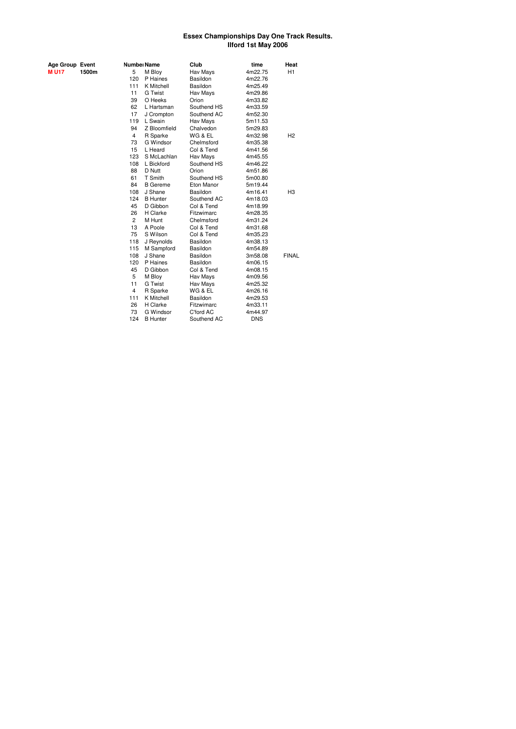| Age Group Event |       |
|-----------------|-------|
| M U17           | 1500m |

| Age Group Event |       |                | Numbei Name      | Club        | time       | Heat           |
|-----------------|-------|----------------|------------------|-------------|------------|----------------|
| <b>MU17</b>     | 1500m | 5              | M Bloy           | Hav Mays    | 4m22.75    | H1             |
|                 |       | 120            | P Haines         | Basildon    | 4m22.76    |                |
|                 |       | 111            | K Mitchell       | Basildon    | 4m25.49    |                |
|                 |       | 11             | <b>G</b> Twist   | Hav Mays    | 4m29.86    |                |
|                 |       | 39             | O Heeks          | Orion       | 4m33.82    |                |
|                 |       | 62             | L Hartsman       | Southend HS | 4m33.59    |                |
|                 |       | 17             | J Crompton       | Southend AC | 4m52.30    |                |
|                 |       | 119            | L Swain          | Hav Mays    | 5m11.53    |                |
|                 |       | 94             | Z Bloomfield     | Chalvedon   | 5m29.83    |                |
|                 |       | 4              | R Sparke         | WG & EL     | 4m32.98    | H2             |
|                 |       | 73             | G Windsor        | Chelmsford  | 4m35.38    |                |
|                 |       | 15             | L Heard          | Col & Tend  | 4m41.56    |                |
|                 |       | 123            | S McLachlan      | Hav Mays    | 4m45.55    |                |
|                 |       | 108            | L Bickford       | Southend HS | 4m46.22    |                |
|                 |       | 88             | D Nutt           | Orion       | 4m51.86    |                |
|                 |       | 61             | T Smith          | Southend HS | 5m00.80    |                |
|                 |       | 84             | <b>B</b> Gereme  | Eton Manor  | 5m19.44    |                |
|                 |       | 108            | J Shane          | Basildon    | 4m16.41    | H <sub>3</sub> |
|                 |       | 124            | <b>B</b> Hunter  | Southend AC | 4m18.03    |                |
|                 |       | 45             | D Gibbon         | Col & Tend  | 4m18.99    |                |
|                 |       | 26             | H Clarke         | Fitzwimarc  | 4m28.35    |                |
|                 |       | $\overline{2}$ | M Hunt           | Chelmsford  | 4m31.24    |                |
|                 |       | 13             | A Poole          | Col & Tend  | 4m31.68    |                |
|                 |       | 75             | S Wilson         | Col & Tend  | 4m35.23    |                |
|                 |       | 118            | J Reynolds       | Basildon    | 4m38.13    |                |
|                 |       | 115            | M Sampford       | Basildon    | 4m54.89    |                |
|                 |       | 108            | J Shane          | Basildon    | 3m58.08    | <b>FINAL</b>   |
|                 |       | 120            | P Haines         | Basildon    | 4m06.15    |                |
|                 |       | 45             | D Gibbon         | Col & Tend  | 4m08.15    |                |
|                 |       | 5              | M Bloy           | Hav Mays    | 4m09.56    |                |
|                 |       | 11             | <b>G</b> Twist   | Hav Mays    | 4m25.32    |                |
|                 |       | 4              | R Sparke         | WG & EL     | 4m26.16    |                |
|                 |       | 111            | K Mitchell       | Basildon    | 4m29.53    |                |
|                 |       | 26             | H Clarke         | Fitzwimarc  | 4m33.11    |                |
|                 |       | 73             | <b>G Windsor</b> | C'ford AC   | 4m44.97    |                |
|                 |       | 124            | <b>B</b> Hunter  | Southend AC | <b>DNS</b> |                |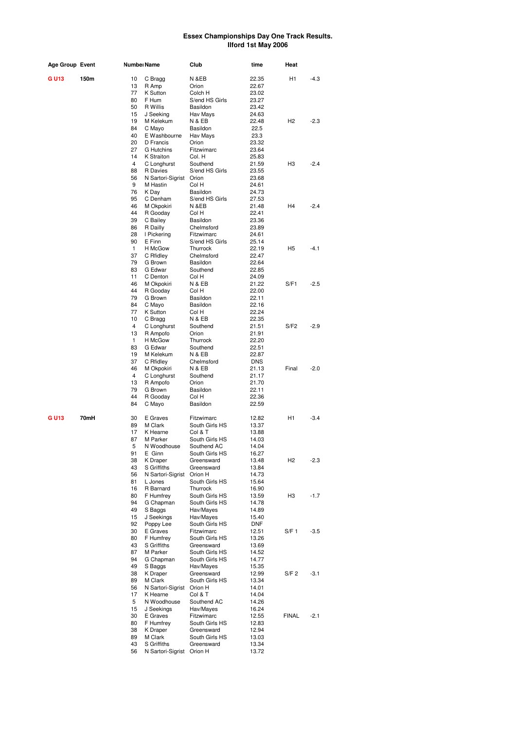| Age Group Event |      | Numbeı Name        |                              | Club                         | time                | Heat             |        |
|-----------------|------|--------------------|------------------------------|------------------------------|---------------------|------------------|--------|
| G U13           | 150m | 10                 | C Bragg                      | N &EB                        | 22.35               | H1               | $-4.3$ |
|                 |      | 13                 | R Amp                        | Orion                        | 22.67               |                  |        |
|                 |      | 77                 | K Sutton                     | Colch H                      | 23.02               |                  |        |
|                 |      | 80                 | F Hum                        | S/end HS Girls               | 23.27               |                  |        |
|                 |      | 50<br>15           | R Willis<br>J Seeking        | Basildon<br>Hav Mays         | 23.42<br>24.63      |                  |        |
|                 |      | 19                 | M Kelekum                    | N & EB                       | 22.48               | H <sub>2</sub>   | $-2.3$ |
|                 |      | 84                 | C Mayo                       | Basildon                     | 22.5                |                  |        |
|                 |      | 40                 | E Washbourne                 | Hav Mays                     | 23.3                |                  |        |
|                 |      | 20                 | D Francis                    | Orion                        | 23.32               |                  |        |
|                 |      | 27                 | <b>G</b> Hutchins            | Fitzwimarc                   | 23.64               |                  |        |
|                 |      | 14<br>4            | K Straiton<br>C Longhurst    | Col. H<br>Southend           | 25.83<br>21.59      | H <sub>3</sub>   | $-2.4$ |
|                 |      | 88                 | R Davies                     | S/end HS Girls               | 23.55               |                  |        |
|                 |      | 56                 | N Sartori-Sigrist            | Orion                        | 23.68               |                  |        |
|                 |      | 9                  | M Hastin                     | Col H                        | 24.61               |                  |        |
|                 |      | 76                 | K Day                        | Basildon                     | 24.73               |                  |        |
|                 |      | 95<br>46           | C Denham                     | S/end HS Girls<br>N &EB      | 27.53<br>21.48      | H <sub>4</sub>   | $-2.4$ |
|                 |      | 44                 | M Okpokiri<br>R Gooday       | Col H                        | 22.41               |                  |        |
|                 |      | 39                 | C Bailey                     | Basildon                     | 23.36               |                  |        |
|                 |      | 86                 | R Dailly                     | Chelmsford                   | 23.89               |                  |        |
|                 |      | 28                 | I Pickering                  | Fitzwimarc                   | 24.61               |                  |        |
|                 |      | 90                 | E Finn                       | S/end HS Girls               | 25.14               |                  |        |
|                 |      | $\mathbf{1}$<br>37 | H McGow                      | Thurrock<br>Chelmsford       | 22.19               | H <sub>5</sub>   | $-4.1$ |
|                 |      | 79                 | C Rfidley<br>G Brown         | Basildon                     | 22.47<br>22.64      |                  |        |
|                 |      | 83                 | G Edwar                      | Southend                     | 22.85               |                  |        |
|                 |      | 11                 | C Denton                     | Col H                        | 24.09               |                  |        |
|                 |      | 46                 | M Okpokiri                   | N & EB                       | 21.22               | S/F1             | $-2.5$ |
|                 |      | 44                 | R Gooday                     | Col H                        | 22.00               |                  |        |
|                 |      | 79                 | G Brown                      | Basildon                     | 22.11               |                  |        |
|                 |      | 84<br>77           | C Mayo<br>K Sutton           | Basildon<br>Col H            | 22.16<br>22.24      |                  |        |
|                 |      | 10                 | C Bragg                      | N & EB                       | 22.35               |                  |        |
|                 |      | 4                  | C Longhurst                  | Southend                     | 21.51               | S/F2             | $-2.9$ |
|                 |      | 13                 | R Ampofo                     | Orion                        | 21.91               |                  |        |
|                 |      | 1                  | H McGow                      | Thurrock                     | 22.20               |                  |        |
|                 |      | 83                 | G Edwar                      | Southend                     | 22.51               |                  |        |
|                 |      | 19<br>37           | M Kelekum                    | N & EB<br>Chelmsford         | 22.87<br><b>DNS</b> |                  |        |
|                 |      | 46                 | C Rfidley<br>M Okpokiri      | N & EB                       | 21.13               | Final            | $-2.0$ |
|                 |      | 4                  | C Longhurst                  | Southend                     | 21.17               |                  |        |
|                 |      | 13                 | R Ampofo                     | Orion                        | 21.70               |                  |        |
|                 |      | 79                 | G Brown                      | Basildon                     | 22.11               |                  |        |
|                 |      | 44                 | R Gooday                     | Col H                        | 22.36               |                  |        |
|                 |      | 84                 | C Mayo                       | Basildon                     | 22.59               |                  |        |
| G U13           | 70mH | 30                 | E Graves                     | Fitzwimarc                   | 12.82               | H1               | $-3.4$ |
|                 |      | 89                 | M Clark                      | South Girls HS               | 13.37               |                  |        |
|                 |      | 17<br>87           | K Hearne<br>M Parker         | Col & T<br>South Girls HS    | 13.88<br>14.03      |                  |        |
|                 |      | 5                  | N Woodhouse                  | Southend AC                  | 14.04               |                  |        |
|                 |      | 91                 | E Ginn                       | South Girls HS               | 16.27               |                  |        |
|                 |      | 38                 | K Draper                     | Greensward                   | 13.48               | H <sub>2</sub>   | $-2.3$ |
|                 |      | 43                 | S Griffiths                  | Greensward                   | 13.84               |                  |        |
|                 |      | 56                 | N Sartori-Sigrist            | Orion H                      | 14.73               |                  |        |
|                 |      | 81<br>16           | L Jones<br>R Barnard         | South Girls HS<br>Thurrock   | 15.64<br>16.90      |                  |        |
|                 |      | 80                 | F Humfrey                    | South Girls HS               | 13.59               | H3               | $-1.7$ |
|                 |      | 94                 | G Chapman                    | South Girls HS               | 14.78               |                  |        |
|                 |      | 49                 | S Baggs                      | Hav/Mayes                    | 14.89               |                  |        |
|                 |      | 15                 | J Seekings                   | Hav/Mayes                    | 15.40               |                  |        |
|                 |      | 92                 | Poppy Lee                    | South Girls HS               | DNF                 |                  |        |
|                 |      | 30<br>80           | E Graves<br>F Humfrey        | Fitzwimarc<br>South Girls HS | 12.51<br>13.26      | S/F 1            | $-3.5$ |
|                 |      | 43                 | S Griffiths                  | Greensward                   | 13.69               |                  |        |
|                 |      | 87                 | M Parker                     | South Girls HS               | 14.52               |                  |        |
|                 |      | 94                 | G Chapman                    | South Girls HS               | 14.77               |                  |        |
|                 |      | 49                 | S Baggs                      | Hav/Mayes                    | 15.35               |                  |        |
|                 |      | 38                 | K Draper                     | Greensward                   | 12.99               | S/F <sub>2</sub> | $-3.1$ |
|                 |      | 89<br>56           | M Clark<br>N Sartori-Sigrist | South Girls HS<br>Orion H    | 13.34<br>14.01      |                  |        |
|                 |      | 17                 | K Hearne                     | Col & T                      | 14.04               |                  |        |
|                 |      | 5                  | N Woodhouse                  | Southend AC                  | 14.26               |                  |        |
|                 |      | 15                 | J Seekings                   | Hav/Mayes                    | 16.24               |                  |        |
|                 |      | 30                 | E Graves                     | Fitzwimarc                   | 12.55               | <b>FINAL</b>     | $-2.1$ |
|                 |      | 80                 | F Humfrey                    | South Girls HS               | 12.83               |                  |        |
|                 |      | 38<br>89           | K Draper<br>M Clark          | Greensward<br>South Girls HS | 12.94<br>13.03      |                  |        |
|                 |      | 43                 | S Griffiths                  | Greensward                   | 13.34               |                  |        |
|                 |      | 56                 | N Sartori-Sigrist Orion H    |                              | 13.72               |                  |        |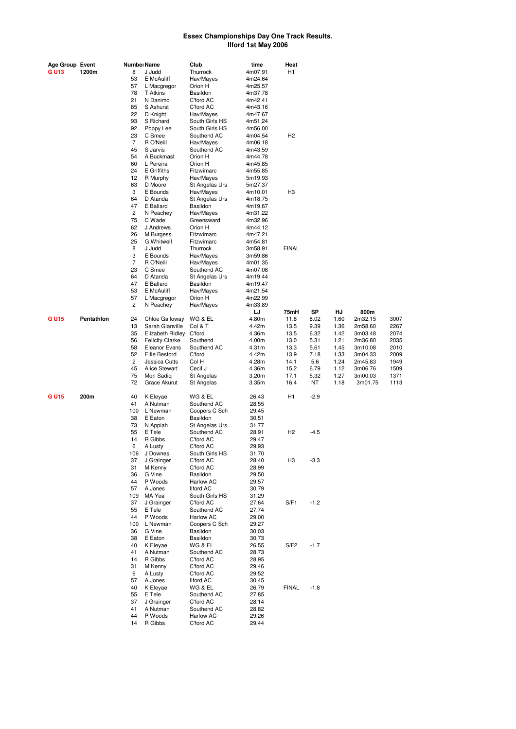| Age Group Event |            |                | Numbei Name             | Club                             | time               | Heat           |        |      |         |      |
|-----------------|------------|----------------|-------------------------|----------------------------------|--------------------|----------------|--------|------|---------|------|
| <b>GU13</b>     | 1200m      | 8              | J Judd                  | Thurrock                         | 4m07.91            | H <sub>1</sub> |        |      |         |      |
|                 |            | 53             | E McAuliff              | Hav/Mayes                        | 4m24.64            |                |        |      |         |      |
|                 |            | 57             | L Macgregor             | Orion H                          | 4m25.57            |                |        |      |         |      |
|                 |            | 78             | T Atkins                | Basildon                         | 4m37.78            |                |        |      |         |      |
|                 |            | 21             | N Danimo                | C'ford AC                        | 4m42.41            |                |        |      |         |      |
|                 |            | 85             | S Ashurst               | C'ford AC                        | 4m43.16            |                |        |      |         |      |
|                 |            | 22<br>93       | D Knight                | Hav/Mayes                        | 4m47.67            |                |        |      |         |      |
|                 |            | 92             | S Richard               | South Girls HS<br>South Girls HS | 4m51.24            |                |        |      |         |      |
|                 |            | 23             | Poppy Lee<br>C Smee     | Southend AC                      | 4m56.00            | H <sub>2</sub> |        |      |         |      |
|                 |            | $\overline{7}$ | R O'Neill               |                                  | 4m04.54            |                |        |      |         |      |
|                 |            | 45             | S Jarvis                | Hav/Mayes<br>Southend AC         | 4m06.18<br>4m43.59 |                |        |      |         |      |
|                 |            | 54             | A Buckmast              | Orion H                          | 4m44.78            |                |        |      |         |      |
|                 |            | 60             | L Pereira               | Orion H                          | 4m45.85            |                |        |      |         |      |
|                 |            | 24             | E Griffiths             | Fitzwimarc                       | 4m55.85            |                |        |      |         |      |
|                 |            | 12             | R Murphy                | Hav/Mayes                        | 5m19.93            |                |        |      |         |      |
|                 |            | 63             | D Moore                 | St Angelas Urs                   | 5m27.37            |                |        |      |         |      |
|                 |            | 3              | E Bounds                | Hav/Mayes                        | 4m10.01            | H <sub>3</sub> |        |      |         |      |
|                 |            | 64             | D Atanda                | St Angelas Urs                   | 4m18.75            |                |        |      |         |      |
|                 |            | 47             | E Ballard               | Basildon                         | 4m19.67            |                |        |      |         |      |
|                 |            | $\overline{c}$ | N Peachey               | Hav/Mayes                        | 4m31.22            |                |        |      |         |      |
|                 |            | 75             | C Wade                  | Greensward                       | 4m32.96            |                |        |      |         |      |
|                 |            | 62             | J Andrews               | Orion H                          | 4m44.12            |                |        |      |         |      |
|                 |            | 26             | M Burgess               | Fitzwimarc                       | 4m47.21            |                |        |      |         |      |
|                 |            | 25             | <b>G</b> Whitwell       | Fitzwimarc                       | 4m54.81            |                |        |      |         |      |
|                 |            | 8              | J Judd                  | Thurrock                         | 3m58.91            | <b>FINAL</b>   |        |      |         |      |
|                 |            | 3              | E Bounds                | Hav/Mayes                        | 3m59.86            |                |        |      |         |      |
|                 |            | $\overline{7}$ | R O'Neill               | Hav/Mayes                        | 4m01.35            |                |        |      |         |      |
|                 |            | 23             | C Smee                  | Southend AC                      | 4m07.08            |                |        |      |         |      |
|                 |            | 64             | D Atanda                | St Angelas Urs                   | 4m19.44            |                |        |      |         |      |
|                 |            | 47             | E Ballard               | Basildon                         | 4m19.47            |                |        |      |         |      |
|                 |            | 53             | E McAuliff              | Hav/Mayes                        | 4m21.54            |                |        |      |         |      |
|                 |            | 57             | L Macgregor             | Orion H                          | 4m22.99            |                |        |      |         |      |
|                 |            | $\overline{c}$ | N Peachey               | Hav/Mayes                        | 4m33.89            |                |        |      |         |      |
|                 |            |                |                         |                                  | LJ                 | 75mH           | SP     | HJ   | 800m    |      |
| <b>GU15</b>     | Pentathlon | 24             | Chloe Galloway          | WG & EL                          | 4.80m              | 11.8           | 8.02   | 1.60 | 2m32.15 | 3007 |
|                 |            | 13             | Sarah Glanville         | Col & T                          | 4.42m              | 13.5           | 9.39   | 1.36 | 2m58.60 | 2267 |
|                 |            | 35             | Elizabeth Ridley C'ford |                                  | 4.36m              | 13.5           | 6.32   | 1.42 | 3m03.48 | 2074 |
|                 |            | 56             | <b>Felicity Clarke</b>  | Southend                         | 4.00m              | 13.0           | 5.31   | 1.21 | 2m36.80 | 2035 |
|                 |            | 58             | <b>Eleanor Evans</b>    | Southend AC                      | 4.31m              | 13.3           | 5.61   | 1.45 | 3m10.08 | 2010 |
|                 |            | 52             | Ellie Besford           | C'ford                           | 4.42m              | 13.9           | 7.18   | 1.33 | 3m04.33 | 2009 |
|                 |            | 2              | Jessica Cutts           | Col H                            | 4.28m              | 14.1           | 5.6    | 1.24 | 2m45.83 | 1949 |
|                 |            | 45             | Alice Stewart           | Cecil J                          | 4.36m              | 15.2           | 6.79   | 1.12 | 3m06.76 | 1509 |
|                 |            | 75             | Mori Sadiq              | St Angelas                       | 3.20 <sub>m</sub>  | 17.1           | 5.32   | 1.27 | 3m00.03 | 1371 |
|                 |            | 72             | Grace Akurut            | St Angelas                       | 3.35m              | 16.4           | ΝT     | 1.18 | 3m01.75 | 1113 |
| <b>GU15</b>     | 200m       | 40             | K Eleyae                | WG & EL                          | 26.43              | H <sub>1</sub> | $-2.9$ |      |         |      |
|                 |            | 41             | A Nutman                | Southend AC                      | 28.55              |                |        |      |         |      |
|                 |            | 100            | L Newman                | Coopers C Sch                    | 29.45              |                |        |      |         |      |
|                 |            | 38             | E Eaton                 | Basildon                         | 30.51              |                |        |      |         |      |
|                 |            | 73             | N Appiah                | St Angelas Urs                   | 31.77              |                |        |      |         |      |
|                 |            | 55             | E Tele                  | Southend AC                      | 28.91              | H <sub>2</sub> | $-4.5$ |      |         |      |
|                 |            | 14             | R Gibbs                 | C'ford AC                        | 29.47              |                |        |      |         |      |
|                 |            | 6              | A Lusty                 | C'ford AC                        | 29.93              |                |        |      |         |      |
|                 |            | 106            | J Downes                | South Girls HS                   | 31.70              |                |        |      |         |      |
|                 |            | 37             | J Grainger              | C'ford AC                        | 28.40              | H <sub>3</sub> | $-3.3$ |      |         |      |
|                 |            | 31             | M Kenny                 | C'ford AC                        | 28.99              |                |        |      |         |      |
|                 |            | 36             | G Vine                  | Basildon                         | 29.50              |                |        |      |         |      |
|                 |            | 44             | P Woods                 | Harlow AC                        | 29.57              |                |        |      |         |      |
|                 |            | 57             | A Jones                 | <b>Ilford AC</b>                 | 30.79              |                |        |      |         |      |
|                 |            | 109            | MA Yea                  | South Girls HS                   | 31.29              |                |        |      |         |      |
|                 |            | 37             | J Grainger              | C'ford AC                        | 27.64              | S/F1           | $-1.2$ |      |         |      |
|                 |            | 55             | E Tele                  | Southend AC                      | 27.74              |                |        |      |         |      |
|                 |            | 44             | P Woods                 | Harlow AC                        | 29.00              |                |        |      |         |      |
|                 |            | 100            | L Newman                | Coopers C Sch                    | 29.27              |                |        |      |         |      |
|                 |            | 36             | G Vine                  | Basildon                         | 30.03              |                |        |      |         |      |
|                 |            | 38             | E Eaton                 | Basildon                         | 30.73              |                |        |      |         |      |
|                 |            | 40             | K Eleyae                | WG & EL                          | 26.55              | S/F2           | $-1.7$ |      |         |      |
|                 |            | 41             | A Nutman                | Southend AC                      | 28.73              |                |        |      |         |      |
|                 |            | 14             | R Gibbs                 | C'ford AC                        | 28.95              |                |        |      |         |      |
|                 |            | 31             | M Kenny                 | C'ford AC                        | 29.46              |                |        |      |         |      |
|                 |            | 6              | A Lusty                 | C'ford AC                        | 29.52              |                |        |      |         |      |
|                 |            | 57             | A Jones                 | <b>Ilford AC</b>                 | 30.45              |                |        |      |         |      |
|                 |            | 40             | K Eleyae                | WG & EL                          | 26.79              | <b>FINAL</b>   | $-1.8$ |      |         |      |
|                 |            | 55             | E Tele                  | Southend AC                      | 27.85              |                |        |      |         |      |
|                 |            | 37             | J Grainger              | C'ford AC                        | 28.14              |                |        |      |         |      |
|                 |            | 41<br>44       | A Nutman                | Southend AC                      | 28.82              |                |        |      |         |      |
|                 |            |                | P Woods                 | Harlow AC                        | 29.26              |                |        |      |         |      |
|                 |            | 14             | R Gibbs                 | C'ford AC                        | 29.44              |                |        |      |         |      |